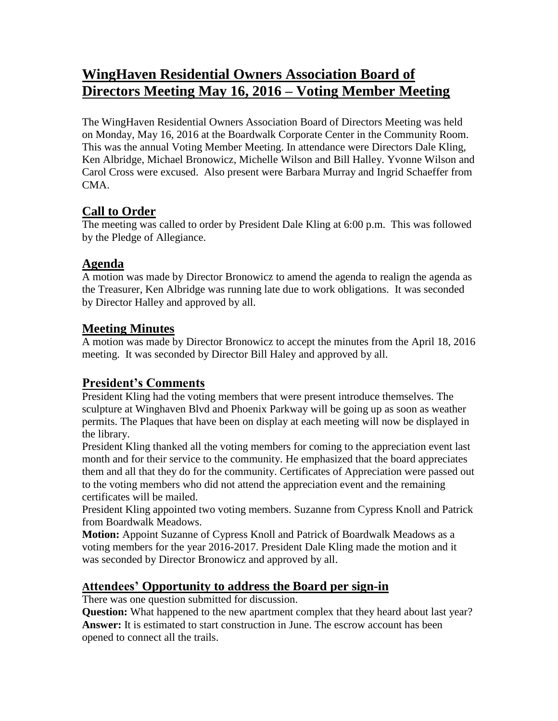# **WingHaven Residential Owners Association Board of Directors Meeting May 16, 2016 – Voting Member Meeting**

The WingHaven Residential Owners Association Board of Directors Meeting was held on Monday, May 16, 2016 at the Boardwalk Corporate Center in the Community Room. This was the annual Voting Member Meeting. In attendance were Directors Dale Kling, Ken Albridge, Michael Bronowicz, Michelle Wilson and Bill Halley. Yvonne Wilson and Carol Cross were excused. Also present were Barbara Murray and Ingrid Schaeffer from CMA.

### **Call to Order**

The meeting was called to order by President Dale Kling at 6:00 p.m. This was followed by the Pledge of Allegiance.

### **Agenda**

A motion was made by Director Bronowicz to amend the agenda to realign the agenda as the Treasurer, Ken Albridge was running late due to work obligations. It was seconded by Director Halley and approved by all.

### **Meeting Minutes**

A motion was made by Director Bronowicz to accept the minutes from the April 18, 2016 meeting. It was seconded by Director Bill Haley and approved by all.

# **President's Comments**

President Kling had the voting members that were present introduce themselves. The sculpture at Winghaven Blvd and Phoenix Parkway will be going up as soon as weather permits. The Plaques that have been on display at each meeting will now be displayed in the library.

President Kling thanked all the voting members for coming to the appreciation event last month and for their service to the community. He emphasized that the board appreciates them and all that they do for the community. Certificates of Appreciation were passed out to the voting members who did not attend the appreciation event and the remaining certificates will be mailed.

President Kling appointed two voting members. Suzanne from Cypress Knoll and Patrick from Boardwalk Meadows.

**Motion:** Appoint Suzanne of Cypress Knoll and Patrick of Boardwalk Meadows as a voting members for the year 2016-2017. President Dale Kling made the motion and it was seconded by Director Bronowicz and approved by all.

# **Attendees' Opportunity to address the Board per sign-in**

There was one question submitted for discussion.

**Question:** What happened to the new apartment complex that they heard about last year? **Answer:** It is estimated to start construction in June. The escrow account has been opened to connect all the trails.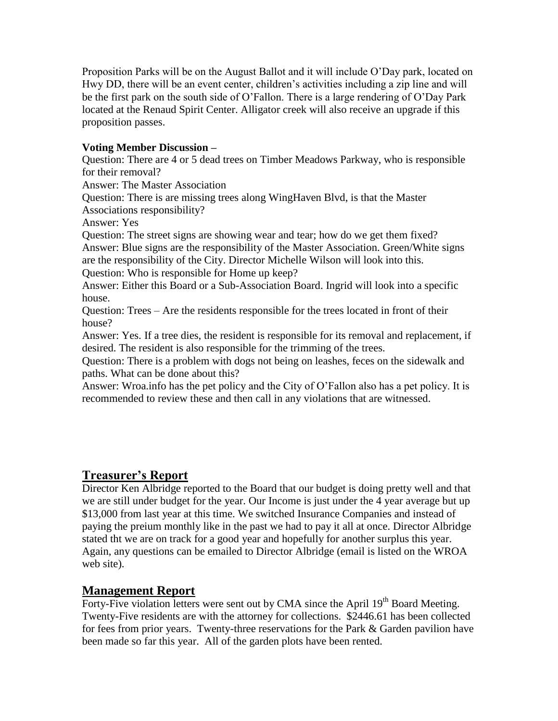Proposition Parks will be on the August Ballot and it will include O'Day park, located on Hwy DD, there will be an event center, children's activities including a zip line and will be the first park on the south side of O'Fallon. There is a large rendering of O'Day Park located at the Renaud Spirit Center. Alligator creek will also receive an upgrade if this proposition passes.

#### **Voting Member Discussion –**

Question: There are 4 or 5 dead trees on Timber Meadows Parkway, who is responsible for their removal?

Answer: The Master Association

Question: There is are missing trees along WingHaven Blvd, is that the Master Associations responsibility?

Answer: Yes

Question: The street signs are showing wear and tear; how do we get them fixed? Answer: Blue signs are the responsibility of the Master Association. Green/White signs are the responsibility of the City. Director Michelle Wilson will look into this. Question: Who is responsible for Home up keep?

Answer: Either this Board or a Sub-Association Board. Ingrid will look into a specific house.

Question: Trees – Are the residents responsible for the trees located in front of their house?

Answer: Yes. If a tree dies, the resident is responsible for its removal and replacement, if desired. The resident is also responsible for the trimming of the trees.

Question: There is a problem with dogs not being on leashes, feces on the sidewalk and paths. What can be done about this?

Answer: Wroa.info has the pet policy and the City of O'Fallon also has a pet policy. It is recommended to review these and then call in any violations that are witnessed.

# **Treasurer's Report**

Director Ken Albridge reported to the Board that our budget is doing pretty well and that we are still under budget for the year. Our Income is just under the 4 year average but up \$13,000 from last year at this time. We switched Insurance Companies and instead of paying the preium monthly like in the past we had to pay it all at once. Director Albridge stated tht we are on track for a good year and hopefully for another surplus this year. Again, any questions can be emailed to Director Albridge (email is listed on the WROA web site).

### **Management Report**

Forty-Five violation letters were sent out by CMA since the April 19<sup>th</sup> Board Meeting. Twenty-Five residents are with the attorney for collections. \$2446.61 has been collected for fees from prior years. Twenty-three reservations for the Park & Garden pavilion have been made so far this year. All of the garden plots have been rented.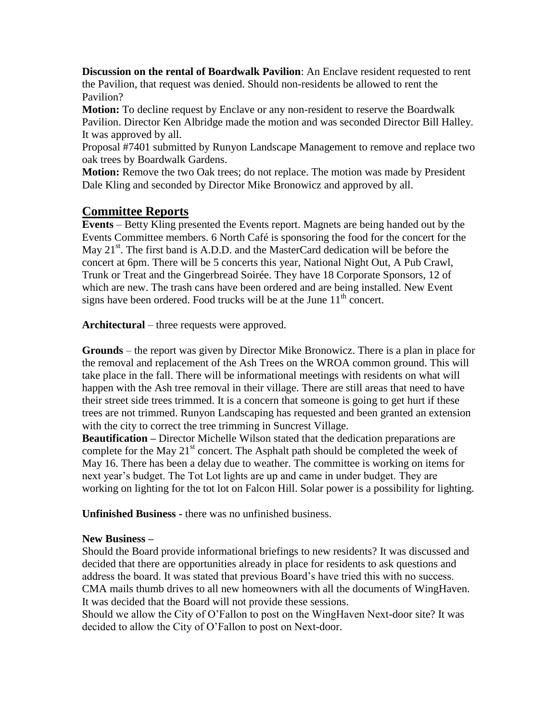**Discussion on the rental of Boardwalk Pavilion**: An Enclave resident requested to rent the Pavilion, that request was denied. Should non-residents be allowed to rent the Pavilion?

**Motion:** To decline request by Enclave or any non-resident to reserve the Boardwalk Pavilion. Director Ken Albridge made the motion and was seconded Director Bill Halley. It was approved by all.

Proposal #7401 submitted by Runyon Landscape Management to remove and replace two oak trees by Boardwalk Gardens.

**Motion:** Remove the two Oak trees; do not replace. The motion was made by President Dale Kling and seconded by Director Mike Bronowicz and approved by all.

### **Committee Reports**

**Events** – Betty Kling presented the Events report. Magnets are being handed out by the Events Committee members. 6 North Café is sponsoring the food for the concert for the May  $21<sup>st</sup>$ . The first band is A.D.D. and the MasterCard dedication will be before the concert at 6pm. There will be 5 concerts this year, National Night Out, A Pub Crawl, Trunk or Treat and the Gingerbread Soirée. They have 18 Corporate Sponsors, 12 of which are new. The trash cans have been ordered and are being installed. New Event signs have been ordered. Food trucks will be at the June  $11<sup>th</sup>$  concert.

**Architectural** – three requests were approved.

**Grounds** – the report was given by Director Mike Bronowicz. There is a plan in place for the removal and replacement of the Ash Trees on the WROA common ground. This will take place in the fall. There will be informational meetings with residents on what will happen with the Ash tree removal in their village. There are still areas that need to have their street side trees trimmed. It is a concern that someone is going to get hurt if these trees are not trimmed. Runyon Landscaping has requested and been granted an extension with the city to correct the tree trimming in Suncrest Village.

**Beautification –** Director Michelle Wilson stated that the dedication preparations are complete for the May  $21<sup>st</sup>$  concert. The Asphalt path should be completed the week of May 16. There has been a delay due to weather. The committee is working on items for next year's budget. The Tot Lot lights are up and came in under budget. They are working on lighting for the tot lot on Falcon Hill. Solar power is a possibility for lighting.

**Unfinished Business -** there was no unfinished business.

#### **New Business –**

Should the Board provide informational briefings to new residents? It was discussed and decided that there are opportunities already in place for residents to ask questions and address the board. It was stated that previous Board's have tried this with no success. CMA mails thumb drives to all new homeowners with all the documents of WingHaven. It was decided that the Board will not provide these sessions.

Should we allow the City of O'Fallon to post on the WingHaven Next-door site? It was decided to allow the City of O'Fallon to post on Next-door.